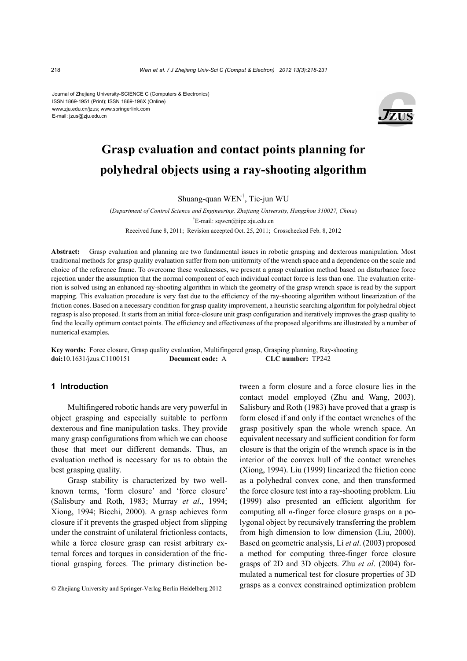Journal of Zhejiang University-SCIENCE C (Computers & Electronics) ISSN 1869-1951 (Print); ISSN 1869-196X (Online) www.zju.edu.cn/jzus; www.springerlink.com E-mail: jzus@zju.edu.cn



# **Grasp evaluation and contact points planning for polyhedral objects using a ray-shooting algorithm**

Shuang-quan WEN† , Tie-jun WU

(*Department of Control Science and Engineering, Zhejiang University, Hangzhou 310027, China*) † E-mail: sqwen@iipc.zju.edu.cn Received June 8, 2011; Revision accepted Oct. 25, 2011; Crosschecked Feb. 8, 2012

**Abstract:** Grasp evaluation and planning are two fundamental issues in robotic grasping and dexterous manipulation. Most traditional methods for grasp quality evaluation suffer from non-uniformity of the wrench space and a dependence on the scale and choice of the reference frame. To overcome these weaknesses, we present a grasp evaluation method based on disturbance force rejection under the assumption that the normal component of each individual contact force is less than one. The evaluation criterion is solved using an enhanced ray-shooting algorithm in which the geometry of the grasp wrench space is read by the support mapping. This evaluation procedure is very fast due to the efficiency of the ray-shooting algorithm without linearization of the friction cones. Based on a necessary condition for grasp quality improvement, a heuristic searching algorithm for polyhedral object regrasp is also proposed. It starts from an initial force-closure unit grasp configuration and iteratively improves the grasp quality to find the locally optimum contact points. The efficiency and effectiveness of the proposed algorithms are illustrated by a number of numerical examples.

**Key words:** Force closure, Grasp quality evaluation, Multifingered grasp, Grasping planning, Ray-shooting **doi:**10.1631/jzus.C1100151 **Document code:** A **CLC number:** TP242

# **1 Introduction**

Multifingered robotic hands are very powerful in object grasping and especially suitable to perform dexterous and fine manipulation tasks. They provide many grasp configurations from which we can choose those that meet our different demands. Thus, an evaluation method is necessary for us to obtain the best grasping quality.

Grasp stability is characterized by two wellknown terms, 'form closure' and 'force closure' (Salisbury and Roth, 1983; Murray *et al*., 1994; Xiong, 1994; Bicchi, 2000). A grasp achieves form closure if it prevents the grasped object from slipping under the constraint of unilateral frictionless contacts, while a force closure grasp can resist arbitrary external forces and torques in consideration of the frictional grasping forces. The primary distinction between a form closure and a force closure lies in the contact model employed (Zhu and Wang, 2003). Salisbury and Roth (1983) have proved that a grasp is form closed if and only if the contact wrenches of the grasp positively span the whole wrench space. An equivalent necessary and sufficient condition for form closure is that the origin of the wrench space is in the interior of the convex hull of the contact wrenches (Xiong, 1994). Liu (1999) linearized the friction cone as a polyhedral convex cone, and then transformed the force closure test into a ray-shooting problem. Liu (1999) also presented an efficient algorithm for computing all *n*-finger force closure grasps on a polygonal object by recursively transferring the problem from high dimension to low dimension (Liu, 2000). Based on geometric analysis, Li *et al*. (2003) proposed a method for computing three-finger force closure grasps of 2D and 3D objects. Zhu *et al*. (2004) formulated a numerical test for closure properties of 3D grasps as a convex constrained optimization problem

<sup>©</sup> Zhejiang University and Springer-Verlag Berlin Heidelberg 2012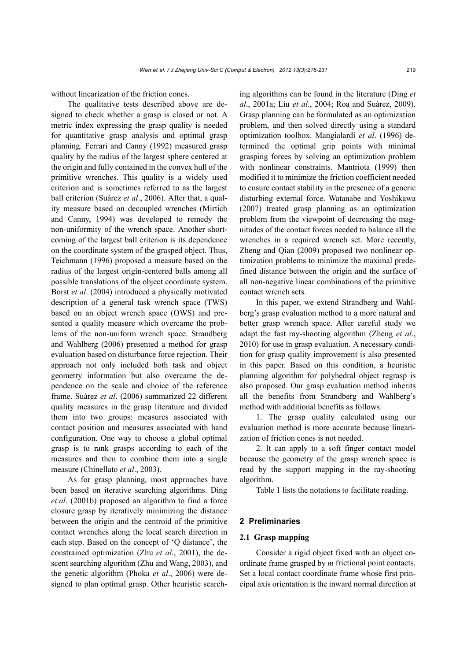without linearization of the friction cones.

The qualitative tests described above are designed to check whether a grasp is closed or not. A metric index expressing the grasp quality is needed for quantitative grasp analysis and optimal grasp planning. Ferrari and Canny (1992) measured grasp quality by the radius of the largest sphere centered at the origin and fully contained in the convex hull of the primitive wrenches. This quality is a widely used criterion and is sometimes referred to as the largest ball criterion (Suárez *et al*., 2006). After that, a quality measure based on decoupled wrenches (Mirtich and Canny, 1994) was developed to remedy the non-uniformity of the wrench space. Another shortcoming of the largest ball criterion is its dependence on the coordinate system of the grasped object. Thus, Teichmann (1996) proposed a measure based on the radius of the largest origin-centered balls among all possible translations of the object coordinate system. Borst *et al*. (2004) introduced a physically motivated description of a general task wrench space (TWS) based on an object wrench space (OWS) and presented a quality measure which overcame the problems of the non-uniform wrench space. Strandberg and Wahlberg (2006) presented a method for grasp evaluation based on disturbance force rejection. Their approach not only included both task and object geometry information but also overcame the dependence on the scale and choice of the reference frame. Suárez *et al*. (2006) summarized 22 different quality measures in the grasp literature and divided them into two groups: measures associated with contact position and measures associated with hand configuration. One way to choose a global optimal grasp is to rank grasps according to each of the measures and then to combine them into a single measure (Chinellato *et al*., 2003).

As for grasp planning, most approaches have been based on iterative searching algorithms. Ding *et al*. (2001b) proposed an algorithm to find a force closure grasp by iteratively minimizing the distance between the origin and the centroid of the primitive contact wrenches along the local search direction in each step. Based on the concept of 'Q distance', the constrained optimization (Zhu *et al*., 2001), the descent searching algorithm (Zhu and Wang, 2003), and the genetic algorithm (Phoka *et al*., 2006) were designed to plan optimal grasp. Other heuristic searching algorithms can be found in the literature (Ding *et al*., 2001a; Liu *et al*., 2004; Roa and Suárez, 2009). Grasp planning can be formulated as an optimization problem, and then solved directly using a standard optimization toolbox. Mangialardi *et al*. (1996) determined the optimal grip points with minimal grasping forces by solving an optimization problem with nonlinear constraints. Mantriota (1999) then modified it to minimize the friction coefficient needed to ensure contact stability in the presence of a generic disturbing external force. Watanabe and Yoshikawa (2007) treated grasp planning as an optimization problem from the viewpoint of decreasing the magnitudes of the contact forces needed to balance all the wrenches in a required wrench set. More recently, Zheng and Qian (2009) proposed two nonlinear optimization problems to minimize the maximal predefined distance between the origin and the surface of all non-negative linear combinations of the primitive contact wrench sets.

In this paper, we extend Strandberg and Wahlberg's grasp evaluation method to a more natural and better grasp wrench space. After careful study we adapt the fast ray-shooting algorithm (Zheng *et al*., 2010) for use in grasp evaluation. A necessary condition for grasp quality improvement is also presented in this paper. Based on this condition, a heuristic planning algorithm for polyhedral object regrasp is also proposed. Our grasp evaluation method inherits all the benefits from Strandberg and Wahlberg's method with additional benefits as follows:

1. The grasp quality calculated using our evaluation method is more accurate because linearization of friction cones is not needed.

2. It can apply to a soft finger contact model because the geometry of the grasp wrench space is read by the support mapping in the ray-shooting algorithm.

Table 1 lists the notations to facilitate reading.

## **2 Preliminaries**

## **2.1 Grasp mapping**

Consider a rigid object fixed with an object coordinate frame grasped by *m* frictional point contacts. Set a local contact coordinate frame whose first principal axis orientation is the inward normal direction at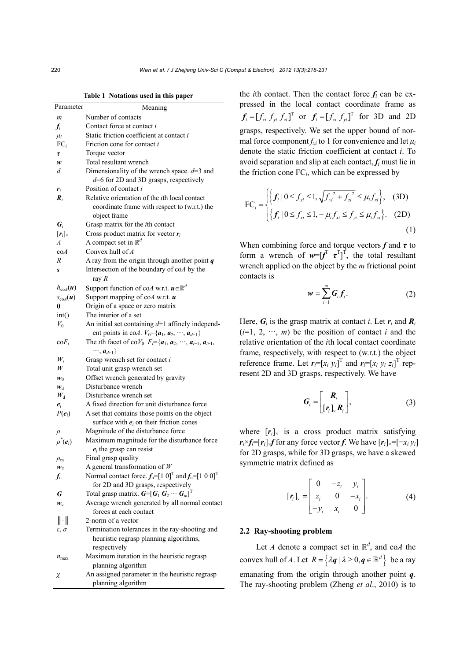**Table 1 Notations used in this paper** 

| Parameter                      | Meaning                                                                                                                |
|--------------------------------|------------------------------------------------------------------------------------------------------------------------|
| $\boldsymbol{m}$               | Number of contacts                                                                                                     |
| $f_i$                          | Contact force at contact i                                                                                             |
| $\mu_i$                        | Static friction coefficient at contact <i>i</i>                                                                        |
| $FC_i$                         | Friction cone for contact i                                                                                            |
| τ                              | Torque vector                                                                                                          |
| w                              | Total resultant wrench                                                                                                 |
| d                              | Dimensionality of the wrench space. $d=3$ and                                                                          |
|                                | $d=6$ for 2D and 3D grasps, respectively                                                                               |
| $r_i$                          | Position of contact i                                                                                                  |
| $\boldsymbol{R}_i$             | Relative orientation of the <i>i</i> th local contact<br>coordinate frame with respect to (w.r.t.) the<br>object frame |
| $\bm{G}_i$                     | Grasp matrix for the <i>i</i> th contact                                                                               |
| $[r_i]_{\times}$               | Cross product matrix for vector $r_i$                                                                                  |
| $\overline{A}$                 | A compact set in $\mathbb{R}^d$                                                                                        |
| $\mathrm{co}A$                 | Convex hull of $A$                                                                                                     |
| R                              | A ray from the origin through another point $q$                                                                        |
| S                              | Intersection of the boundary of coA by the<br>ray $R$                                                                  |
| $h_{\text{coA}}(u)$            | Support function of coA w.r.t. $\mathbf{u} \in \mathbb{R}^d$                                                           |
| $s_{\text{coA}}(u)$            | Support mapping of co $A$ w.r.t. $\boldsymbol{u}$                                                                      |
| 0                              | Origin of a space or zero matrix                                                                                       |
| int()                          | The interior of a set                                                                                                  |
| $V_0$                          | An initial set containing $d+1$ affinely independ-                                                                     |
|                                | ent points in co <i>A</i> . $V_0 = \{a_1, a_2, \dots, a_{d+1}\}\$                                                      |
| $\mathrm{co}F_i$               | The <i>i</i> th facet of co $V_0$ . $F_i = \{a_1, a_2, \dots, a_{i-1}, a_{i+1}, a_i\}$                                 |
|                                | $\cdots$ , $a_{d+1}$ }                                                                                                 |
| $W_i$                          | Grasp wrench set for contact i                                                                                         |
| W                              | Total unit grasp wrench set                                                                                            |
| $w_0$                          | Offset wrench generated by gravity                                                                                     |
| $\boldsymbol{w}_\mathrm{d}$    | Disturbance wrench                                                                                                     |
| $W_{\rm d}$                    | Disturbance wrench set                                                                                                 |
| $e_i$                          | A fixed direction for unit disturbance force                                                                           |
| $P(e_i)$                       | A set that contains those points on the object                                                                         |
|                                | surface with $e_i$ on their friction cones                                                                             |
| $\rho$                         | Magnitude of the disturbance force                                                                                     |
| $\rho^*(e_i)$                  | Maximum magnitude for the disturbance force<br>$e_i$ the grasp can resist                                              |
|                                | Final grasp quality                                                                                                    |
| $\rho_{\rm m}$<br>$w_T$        | A general transformation of $W$                                                                                        |
| $f_{\scriptscriptstyle \rm n}$ | Normal contact force. $f_n = [1 \ 0]^T$ and $f_n = [1 \ 0 \ 0]^T$                                                      |
|                                | for 2D and 3D grasps, respectively                                                                                     |
| G                              | Total grasp matrix. $\boldsymbol{G} = [\boldsymbol{G}_1 \ \boldsymbol{G}_2 \ \cdots \ \boldsymbol{G}_m]^T$             |
| $w_c$                          | Average wrench generated by all normal contact                                                                         |
|                                | forces at each contact                                                                                                 |
| $\ \cdot\ $                    | 2-norm of a vector                                                                                                     |
| $\varepsilon, \sigma$          | Termination tolerances in the ray-shooting and                                                                         |
|                                | heuristic regrasp planning algorithms,                                                                                 |
|                                | respectively                                                                                                           |
| $n_{\text{max}}$               | Maximum iteration in the heuristic regrasp                                                                             |
|                                | planning algorithm                                                                                                     |
| χ                              | An assigned parameter in the heuristic regrasp                                                                         |
|                                | planning algorithm                                                                                                     |

the *i*th contact. Then the contact force  $f_i$  can be expressed in the local contact coordinate frame as  $f_i = [f_{xi} f_{yi} f_{zi}]^T$  or  $f_i = [f_{xi} f_{yi}]^T$  for 3D and 2D grasps, respectively. We set the upper bound of normal force component  $f_{xi}$  to 1 for convenience and let  $\mu_i$ denote the static friction coefficient at contact *i*. To avoid separation and slip at each contact, *fi* must lie in the friction cone FC*i*, which can be expressed by

$$
\text{FC}_{i} = \begin{cases} \left\{ f_{i} \mid 0 \le f_{xi} \le 1, \sqrt{f_{yi}^{2} + f_{zi}^{2}} \le \mu_{i} f_{xi} \right\}, & \text{(3D)}\\ \left\{ f_{i} \mid 0 \le f_{xi} \le 1, -\mu_{i} f_{xi} \le f_{yi} \le \mu_{i} f_{xi} \right\}. & \text{(2D)} \end{cases}
$$

When combining force and torque vectors  $f$  and  $\tau$  to form a wrench of  $w=[f^T \ \tau^T]^T$ , the total resultant wrench applied on the object by the *m* frictional point contacts is

$$
w = \sum_{i=1}^{m} G_i f_i.
$$
 (2)

Here,  $G_i$  is the grasp matrix at contact *i*. Let  $r_i$  and  $R_i$  $(i=1, 2, \cdots, m)$  be the position of contact *i* and the relative orientation of the *i*th local contact coordinate frame, respectively, with respect to (w.r.t.) the object reference frame. Let  $r_i = [x_i \ y_i]^T$  and  $r_i = [x_i \ y_i \ z_i]^T$  represent 2D and 3D grasps, respectively. We have

$$
G_i = \begin{bmatrix} R_i \\ [r_i]_k R_i \end{bmatrix}, \tag{3}
$$

where  $[r_i]_{\times}$  is a cross product matrix satisfying  $r_i \times f_i = [r_i] \times f$  for any force vector *f*. We have  $[r_i] \times [-r_i y_i]$ for 2D grasps, while for 3D grasps, we have a skewed symmetric matrix defined as

$$
\begin{bmatrix} \mathbf{r}_i \end{bmatrix}_x = \begin{bmatrix} 0 & -z_i & y_i \\ z_i & 0 & -x_i \\ -y_i & x_i & 0 \end{bmatrix} . \tag{4}
$$

# **2.2 Ray-shooting problem**

Let *A* denote a compact set in  $\mathbb{R}^d$ , and co*A* the convex hull of *A*. Let  $R = \{ \lambda q \mid \lambda \geq 0, q \in \mathbb{R}^d \}$  be a ray emanating from the origin through another point *q*. The ray-shooting problem (Zheng *et al*., 2010) is to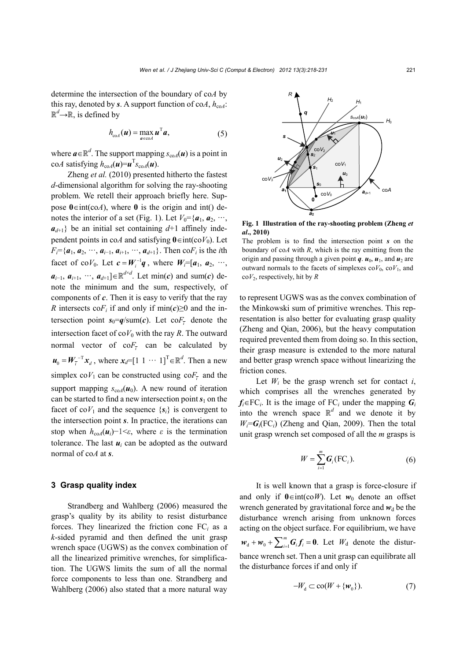determine the intersection of the boundary of co*A* by this ray, denoted by *s*. A support function of co*A*,  $h_{\text{coA}}$ :  $\mathbb{R}^d$   $\rightarrow$   $\mathbb{R}$ , is defined by

$$
h_{\text{coA}}(\boldsymbol{u}) = \max_{\boldsymbol{a}\in\text{coA}} \boldsymbol{u}^{\text{T}} \boldsymbol{a},\tag{5}
$$

where  $\boldsymbol{a} \in \mathbb{R}^d$ . The support mapping  $s_{\text{co}}A(\boldsymbol{u})$  is a point in co*A* satisfying  $h_{\text{coA}}(\boldsymbol{u}) = \boldsymbol{u}^{\text{T}} s_{\text{coA}}(\boldsymbol{u})$ .

Zheng *et al.* (2010) presented hitherto the fastest *d*-dimensional algorithm for solving the ray-shooting problem. We retell their approach briefly here. Suppose  $0 \in \text{int}(\text{co}A)$ , where 0 is the origin and int() denotes the interior of a set (Fig. 1). Let  $V_0 = \{a_1, a_2, \dots, a_n\}$  $a_{d+1}$ } be an initial set containing  $d+1$  affinely independent points in coA and satisfying  $0 \in \text{int}(coV_0)$ . Let  $F_i = \{a_1, a_2, \dots, a_{i-1}, a_{i+1}, \dots, a_{d+1}\}.$  Then co $F_i$  is the *i*th facet of co*V*<sub>0</sub>. Let  $c = W_i^{-1}q$ , where  $W_i = [a_1, a_2, \cdots, a_n]$ *a*<sub>*i*−1</sub>, *a*<sub>*i*+1</sub>, ···, *a*<sub>*d*+1</sub>]∈ $\mathbb{R}^{d \times d}$ . Let min(*c*) and sum(*c*) denote the minimum and the sum, respectively, of components of *c*. Then it is easy to verify that the ray *R* intersects co $F_i$  if and only if min( $c$ )≥0 and the intersection point  $s_0 = q/\text{sum}(c)$ . Let  $\text{co}F_{\overline{t}}$  denote the intersection facet of  $\cos V_0$  with the ray *R*. The outward normal vector of  $\cos F$ <sub>i</sub> can be calculated by  $\mathbf{u}_0 = \mathbf{W}_i^{-T} \mathbf{x}_d$ , where  $\mathbf{x}_d = [1 \ 1 \ \cdots \ 1]^T \in \mathbb{R}^d$ . Then a new simplex  $coV_1$  can be constructed using  $coF_{\overline{i}}$  and the support mapping  $s_{\text{coA}}(\boldsymbol{u}_0)$ . A new round of iteration can be started to find a new intersection point  $s_1$  on the facet of co $V_1$  and the sequence  $\{s_i\}$  is convergent to the intersection point *s*. In practice, the iterations can stop when  $h_{\text{coA}}(\boldsymbol{u}_i)$ −1< $\varepsilon$ , where  $\varepsilon$  is the termination tolerance. The last  $u_i$  can be adopted as the outward normal of co*A* at *s*.

## **3 Grasp quality index**

Strandberg and Wahlberg (2006) measured the grasp's quality by its ability to resist disturbance forces. They linearized the friction cone  $FC_i$  as a *k*-sided pyramid and then defined the unit grasp wrench space (UGWS) as the convex combination of all the linearized primitive wrenches, for simplification. The UGWS limits the sum of all the normal force components to less than one. Strandberg and Wahlberg (2006) also stated that a more natural way



**Fig. 1 Illustration of the ray-shooting problem (Zheng** *et al***., 2010)**

## The problem is to find the intersection point *s* on the boundary of co*A* with *R*, which is the ray emitting from the origin and passing through a given point  $q$ .  $u_0$ ,  $u_1$ , and  $u_2$  are outward normals to the facets of simplexes  $coV_0$ ,  $coV_1$ , and co*V*2, respectively, hit by *R*

to represent UGWS was as the convex combination of the Minkowski sum of primitive wrenches. This representation is also better for evaluating grasp quality (Zheng and Qian, 2006), but the heavy computation required prevented them from doing so. In this section, their grasp measure is extended to the more natural and better grasp wrench space without linearizing the friction cones.

Let  $W_i$  be the grasp wrench set for contact  $i$ , which comprises all the wrenches generated by  $f_i \in FC_i$ . It is the image of  $FC_i$  under the mapping  $G_i$ into the wrench space  $\mathbb{R}^d$  and we denote it by  $W_i = G_i$ (FC<sub>i</sub>) (Zheng and Qian, 2009). Then the total unit grasp wrench set composed of all the *m* grasps is

$$
W = \sum_{i=1}^{m} \boldsymbol{G}_i(\mathrm{FC}_i). \tag{6}
$$

It is well known that a grasp is force-closure if and only if  $0 \in \text{int}(coW)$ . Let  $w_0$  denote an offset wrench generated by gravitational force and  $w_d$  be the disturbance wrench arising from unknown forces acting on the object surface. For equilibrium, we have  $w_d + w_0 + \sum_{i=1}^m G_i f_i = 0$ . Let  $W_d$  denote the disturbance wrench set. Then a unit grasp can equilibrate all the disturbance forces if and only if

$$
-W_{d} \subset \text{co}(W + \{\mathbf{w}_{0}\}).\tag{7}
$$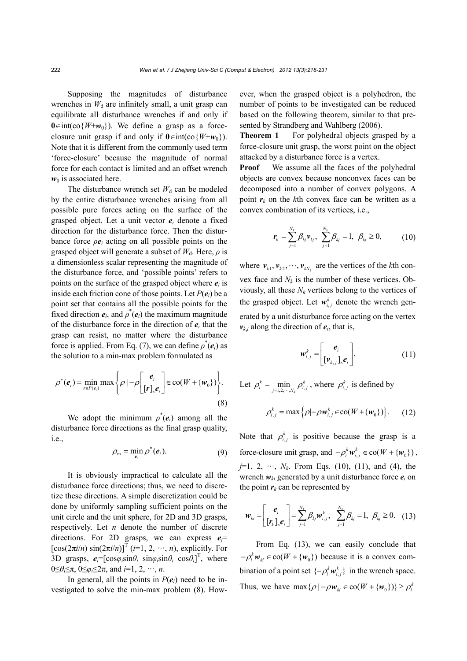Supposing the magnitudes of disturbance wrenches in  $W_d$  are infinitely small, a unit grasp can equilibrate all disturbance wrenches if and only if  $0 \in \text{int}(\text{co}\{W+w_0\})$ . We define a grasp as a forceclosure unit grasp if and only if  $0 \in \text{int}(\cos{\{W+w_0\}})$ . Note that it is different from the commonly used term 'force-closure' because the magnitude of normal force for each contact is limited and an offset wrench  $w_0$  is associated here.

The disturbance wrench set  $W_d$  can be modeled by the entire disturbance wrenches arising from all possible pure forces acting on the surface of the grasped object. Let a unit vector  $e_i$  denote a fixed direction for the disturbance force. Then the disturbance force  $\rho e_i$  acting on all possible points on the grasped object will generate a subset of  $W_d$ . Here,  $\rho$  is a dimensionless scalar representing the magnitude of the disturbance force, and 'possible points' refers to points on the surface of the grasped object where  $e_i$  is inside each friction cone of those points. Let  $P(e_i)$  be a point set that contains all the possible points for the fixed direction  $e_i$ , and  $\rho^*(e_i)$  the maximum magnitude of the disturbance force in the direction of  $e_i$  that the grasp can resist, no matter where the disturbance force is applied. From Eq. (7), we can define  $\rho^*(e_i)$  as the solution to a min-max problem formulated as

$$
\rho^*(e_i) = \min_{r \in P(e_i)} \max \left\{ \rho \mid -\rho \begin{bmatrix} e_i \\ [r]_e e_i \end{bmatrix} \in \text{co}(W + \{w_0\}) \right\}.
$$
\n(8)

We adopt the minimum  $\rho^*(e_i)$  among all the disturbance force directions as the final grasp quality, i.e.,

$$
\rho_{\mathsf{m}} = \min_{\mathsf{e}_i} \rho^*(\mathsf{e}_i). \tag{9}
$$

It is obviously impractical to calculate all the disturbance force directions; thus, we need to discretize these directions. A simple discretization could be done by uniformly sampling sufficient points on the unit circle and the unit sphere, for 2D and 3D grasps, respectively. Let *n* denote the number of discrete directions. For 2D grasps, we can express *ei*=  $\left[\cos(2\pi i/n) \sin(2\pi i/n)\right]^{T}$  (*i*=1, 2, ···, *n*), explicitly. For 3D grasps,  $e_i = [\cos\varphi_i \sin\theta_i \sin\varphi_i \sin\theta_i \cos\theta_i]^T$ , where 0≤*θi*≤π, 0≤*φi*≤2π, and *i*=1, 2, ···, *n*.

In general, all the points in  $P(e_i)$  need to be investigated to solve the min-max problem (8). However, when the grasped object is a polyhedron, the number of points to be investigated can be reduced based on the following theorem, similar to that presented by Strandberg and Wahlberg (2006).

**Theorem 1** For polyhedral objects grasped by a force-closure unit grasp, the worst point on the object attacked by a disturbance force is a vertex.

**Proof** We assume all the faces of the polyhedral objects are convex because nonconvex faces can be decomposed into a number of convex polygons. A point  $r_k$  on the *k*th convex face can be written as a convex combination of its vertices, i.e.,

$$
\mathbf{r}_{k} = \sum_{j=1}^{N_{k}} \beta_{kj} \mathbf{v}_{kj}, \ \sum_{j=1}^{N_{k}} \beta_{kj} = 1, \ \beta_{kj} \ge 0, \tag{10}
$$

where  $v_{k1}, v_{k2}, \dots, v_{kN_k}$  are the vertices of the *k*th convex face and  $N_k$  is the number of these vertices. Obviously, all these  $N_k$  vertices belong to the vertices of the grasped object. Let  $w_{i,j}^k$  denote the wrench generated by a unit disturbance force acting on the vertex  $v_{k,j}$  along the direction of  $e_i$ , that is,

$$
\boldsymbol{w}_{i,j}^k = \begin{bmatrix} \boldsymbol{e}_i \\ [\boldsymbol{v}_{k,j}]_{\times} \boldsymbol{e}_i \end{bmatrix} .
$$
 (11)

Let  $\rho_i^k = \min_{j=1,2,\cdots,N_k} \rho_{i,j}^k$  $\rho_i^k = \min_{j=1,2,\cdots,N_k} \rho_{i,j}^k$ , where  $\rho_{i,j}^k$  is defined by

$$
\rho_{i,j}^k = \max\left\{\rho | -\rho \mathbf{w}_{i,j}^k \in \text{co}(W + \{\mathbf{w}_0\})\right\}.
$$
 (12)

Note that  $\rho_{i,j}^k$  is positive because the grasp is a force-closure unit grasp, and  $-\rho_i^k w_{i,j}^k \in \text{co}(W + \{w_0\})$ ,  $j=1, 2, \dots, N_k$ . From Eqs. (10), (11), and (4), the wrench  $w_{ki}$  generated by a unit disturbance force  $e_i$  on the point  $r_k$  can be represented by

$$
\boldsymbol{w}_{ki} = \begin{bmatrix} \boldsymbol{e}_i \\ \begin{bmatrix} \boldsymbol{r}_k \end{bmatrix}_{\mathbf{e}_i} \end{bmatrix} = \sum_{j=1}^{N_k} \beta_{kj} \boldsymbol{w}_{i,j}^k, \quad \sum_{j=1}^{N_k} \beta_{kj} = 1, \ \beta_{kj} \ge 0. \quad (13)
$$

From Eq.  $(13)$ , we can easily conclude that  $-\rho_i^k w_{ki} \in \text{co}(W + \{w_0\})$  because it is a convex combination of a point set  $\{-\rho_i^k w_{i,j}^k\}$  in the wrench space. Thus, we have  $\max \{ \rho \mid -\rho w_{ki} \in \text{co}(W + \{w_0\}) \} \ge \rho_i^k$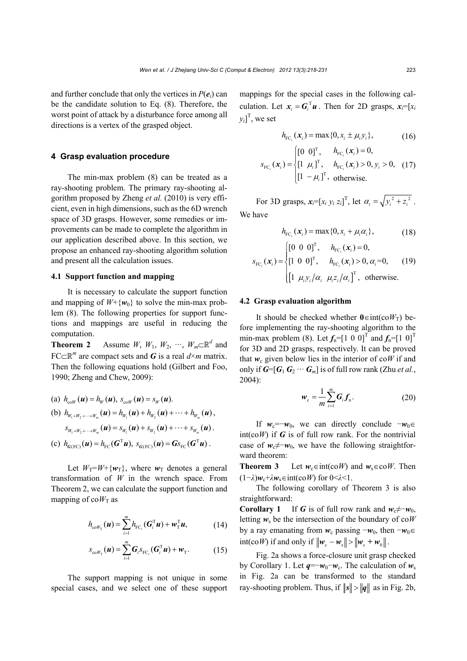and further conclude that only the vertices in  $P(e_i)$  can be the candidate solution to Eq. (8). Therefore, the worst point of attack by a disturbance force among all directions is a vertex of the grasped object.

#### **4 Grasp evaluation procedure**

The min-max problem (8) can be treated as a ray-shooting problem. The primary ray-shooting algorithm proposed by Zheng *et al.* (2010) is very efficient, even in high dimensions, such as the 6D wrench space of 3D grasps. However, some remedies or improvements can be made to complete the algorithm in our application described above. In this section, we propose an enhanced ray-shooting algorithm solution and present all the calculation issues.

## **4.1 Support function and mapping**

It is necessary to calculate the support function and mapping of  $W + \{w_0\}$  to solve the min-max problem (8). The following properties for support functions and mappings are useful in reducing the computation.

**Theorem 2** Assume *W*, *W*<sub>1</sub>, *W*<sub>2</sub>, ···, *W<sub>m</sub>* $\subset \mathbb{R}^d$  and FC $\subset \mathbb{R}^m$  are compact sets and *G* is a real  $d \times m$  matrix. Then the following equations hold (Gilbert and Foo, 1990; Zheng and Chew, 2009):

(a) 
$$
h_{c_0W}(\mathbf{u}) = h_W(\mathbf{u}), s_{c_0W}(\mathbf{u}) = s_W(\mathbf{u}).
$$
  
\n(b)  $h_{W_1 + W_2 + \dots + W_m}(\mathbf{u}) = h_{W_1}(\mathbf{u}) + h_{W_2}(\mathbf{u}) + \dots + h_{W_m}(\mathbf{u}),$   
\n $s_{W_1 + W_2 + \dots + W_m}(\mathbf{u}) = s_{W_1}(\mathbf{u}) + s_{W_2}(\mathbf{u}) + \dots + s_{W_m}(\mathbf{u}).$ 

(c) 
$$
h_{G(\text{FC})}(u) = h_{\text{FC}}(G^{\text{T}}u), s_{G(\text{FC})}(u) = G_{S_{\text{FC}}}(G^{\text{T}}u).
$$

Let  $W_T = W + \{w_T\}$ , where  $w_T$  denotes a general transformation of *W* in the wrench space. From Theorem 2, we can calculate the support function and mapping of  $coW_T$  as

$$
h_{\text{co}\mathit{W}_{\text{T}}}(\boldsymbol{u}) = \sum_{i=1}^{m} h_{\text{FC}_i}(\boldsymbol{G}_i^{\text{T}}\boldsymbol{u}) + \boldsymbol{w}_{\text{T}}^{\text{T}}\boldsymbol{u},\tag{14}
$$

$$
S_{\text{co}\mathcal{W}_{\text{T}}}(\boldsymbol{u}) = \sum_{i=1}^{m} \boldsymbol{G}_{i} S_{\text{FC}_{i}}(\boldsymbol{G}_{i}^{\text{T}} \boldsymbol{u}) + \boldsymbol{w}_{\text{T}}.
$$
 (15)

The support mapping is not unique in some special cases, and we select one of these support mappings for the special cases in the following calculation. Let  $x_i = G_i^T u$ . Then for 2D grasps,  $x_i = [x_i]$  $y_i$ <sup>T</sup>, we set

$$
h_{\text{FC}_i}(\mathbf{x}_i) = \max\{0, x_i \pm \mu_i y_i\},\tag{16}
$$

$$
s_{\text{FC}_i}(\boldsymbol{x}_i) = \begin{cases} \begin{bmatrix} 0 & 0 \end{bmatrix}^\text{T}, & h_{\text{FC}_i}(\boldsymbol{x}_i) = 0, \\ \begin{bmatrix} 1 & \mu_i \end{bmatrix}^\text{T}, & h_{\text{FC}_i}(\boldsymbol{x}_i) > 0, y_i > 0, \\ \begin{bmatrix} 1 & -\mu_i \end{bmatrix}^\text{T}, & \text{otherwise.} \end{cases}
$$
 (17)

For 3D grasps,  $x_i = [x_i \, y_i \, z_i]^T$ , let  $\alpha_i = \sqrt{y_i^2 + z_i^2}$ . We have

$$
h_{\text{FC}_i}(\mathbf{x}_i) = \max\{0, x_i + \mu_i \alpha_i\},\tag{18}
$$

$$
s_{\text{FC}_i}(\mathbf{x}_i) = \begin{cases} \begin{bmatrix} 0 & 0 & 0 \end{bmatrix}^{\text{T}}, & h_{\text{FC}_i}(\mathbf{x}_i) = 0, \\ \begin{bmatrix} 1 & 0 & 0 \end{bmatrix}^{\text{T}}, & h_{\text{FC}_i}(\mathbf{x}_i) > 0, \alpha_i = 0, \\ \begin{bmatrix} 1 & \mu_i y_i / \alpha_i & \mu_i z_i / \alpha_i \end{bmatrix}^{\text{T}}, \text{ otherwise.} \end{cases}
$$
 (19)

### **4.2 Grasp evaluation algorithm**

It should be checked whether  $0 \in \text{int}(\text{co}W_T)$  before implementing the ray-shooting algorithm to the min-max problem (8). Let  $f_n = [1 \ 0 \ 0]^T$  and  $f_n = [1 \ 0]^T$ for 3D and 2D grasps, respectively. It can be proved that  $w_c$  given below lies in the interior of co*W* if and only if  $G=[G_1 G_2 \cdots G_m]$  is of full row rank (Zhu *et al.*, 2004):

$$
\boldsymbol{w}_{\rm c} = \frac{1}{m} \sum_{i=1}^{m} \boldsymbol{G}_{i} \boldsymbol{f}_{\rm n}.
$$
 (20)

If  $w_c=-w_0$ , we can directly conclude  $-w_0 \in$  $int(c \circ W)$  if G is of full row rank. For the nontrivial case of  $w_c \neq w_0$ , we have the following straightforward theorem:

**Theorem 3** Let  $w_c \in \text{int}(c \circ W)$  and  $w_s \in \text{co }W$ . Then  $(1−\lambda)w_c + \lambda w_s \in \text{int}(coW)$  for  $0 \leq \lambda \leq 1$ .

The following corollary of Theorem 3 is also straightforward:

**Corollary 1** If *G* is of full row rank and  $w_c \neq -w_0$ , letting  $w_s$  be the intersection of the boundary of co*W* by a ray emanating from  $w_c$  passing  $-w_0$ , then  $-w_0 \in$ int(co*W*) if and only if  $\|\mathbf{w}_c - \mathbf{w}_s\| > \|\mathbf{w}_c + \mathbf{w}_o\|$ .

Fig. 2a shows a force-closure unit grasp checked by Corollary 1. Let  $q = -w_0 - w_c$ . The calculation of  $w_s$ in Fig. 2a can be transformed to the standard ray-shooting problem. Thus, if  $||s|| > ||q||$  as in Fig. 2b,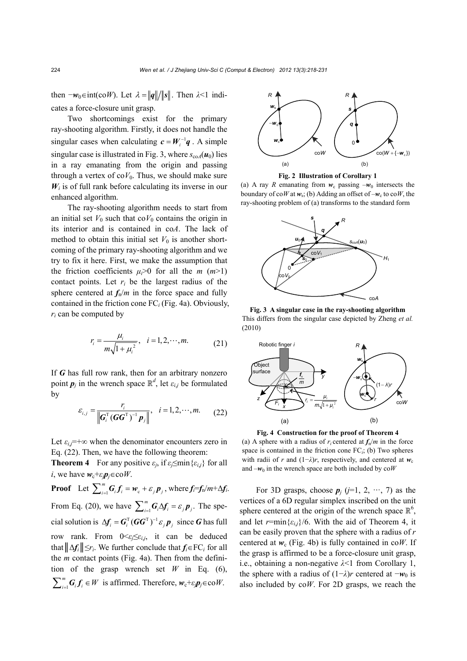then  $-\mathbf{w}_0 \in \text{int}(c \circ W)$ . Let  $\lambda = ||\mathbf{q}|| / ||\mathbf{s}||$ . Then  $\lambda < 1$  indicates a force-closure unit grasp.

Two shortcomings exist for the primary ray-shooting algorithm. Firstly, it does not handle the singular cases when calculating  $c = W_i^{-1}q$ . A simple singular case is illustrated in Fig. 3, where  $s_{\text{coA}}(\boldsymbol{u}_0)$  lies in a ray emanating from the origin and passing through a vertex of  $coV_0$ . Thus, we should make sure  $W_i$  is of full rank before calculating its inverse in our enhanced algorithm.

The ray-shooting algorithm needs to start from an initial set  $V_0$  such that co $V_0$  contains the origin in its interior and is contained in co*A*. The lack of method to obtain this initial set  $V_0$  is another shortcoming of the primary ray-shooting algorithm and we try to fix it here. First, we make the assumption that the friction coefficients  $\mu_i > 0$  for all the *m* (*m*>1) contact points. Let  $r_i$  be the largest radius of the sphere centered at  $f_n/m$  in the force space and fully contained in the friction cone FC*i* (Fig. 4a). Obviously, *ri* can be computed by

$$
r_i = \frac{\mu_i}{m\sqrt{1 + \mu_i^2}}, \quad i = 1, 2, \cdots, m. \tag{21}
$$

If *G* has full row rank, then for an arbitrary nonzero point  $p_j$  in the wrench space  $\mathbb{R}^d$ , let  $\varepsilon_{i,j}$  be formulated by

$$
\varepsilon_{i,j} = \frac{r_i}{\left\| G_i^{\mathrm{T}} (GG^{\mathrm{T}})^{-1} p_j \right\|}, \quad i = 1, 2, \cdots, m. \tag{22}
$$

Let  $\varepsilon_{ij}$ =+∞ when the denominator encounters zero in Eq. (22). Then, we have the following theorem:

**Theorem 4** For any positive  $\varepsilon_i$ , if  $\varepsilon_i \leq \min\{\varepsilon_{i,j}\}$  for all *i*, we have  $w_c + \varepsilon_j p_j \in \text{co } W$ .

**Proof** Let  $\sum_{i=1}^{m} G_i f_i = w_c + \varepsilon_j p_j$ , where  $f_i = f_n/m + \Delta f_i$ . From Eq. (20), we have  $\sum_{i=1}^{m} G_i \Delta f_i = \varepsilon_j p_j$ . The special solution is  $\Delta f_i = G_i^T (GG^T)^{-1} \varepsilon_j p_j$  since *G* has full row rank. From  $0 \leq \varepsilon_i \leq \varepsilon_{i,j}$ , it can be deduced that  $||\Delta f_i|| \leq r_i$ . We further conclude that  $f_i \in FC_i$  for all the *m* contact points (Fig. 4a). Then from the definition of the grasp wrench set *W* in Eq. (6), 1  $\sum_{i=1}^{m} G_i f_i \in W$  is affirmed. Therefore,  $w_c + \varepsilon_j p_j \in \text{co }W$ .





(a) A ray *R* emanating from  $w_c$  passing  $-w_0$  intersects the boundary of co*W* at  $w_s$ ; (b) Adding an offset of  $-w_c$  to co*W*, the ray-shooting problem of (a) transforms to the standard form



**Fig. 3 A singular case in the ray-shooting algorithm** This differs from the singular case depicted by Zheng *et al.*  (2010)



**Fig. 4 Construction for the proof of Theorem 4**  (a) A sphere with a radius of  $r_i$  centered at  $f_n/m$  in the force space is contained in the friction cone FC*i*; (b) Two spheres with radii of *r* and  $(1-\lambda)r$ , respectively, and centered at  $w_c$ and  $-w_0$  in the wrench space are both included by  $\cos W$ 

For 3D grasps, choose  $p_j$  ( $j=1, 2, \cdots, 7$ ) as the vertices of a 6D regular simplex inscribed on the unit sphere centered at the origin of the wrench space  $\mathbb{R}^6$ , and let  $r = \min{\{\varepsilon_{ij}\}}/6$ . With the aid of Theorem 4, it can be easily proven that the sphere with a radius of *r* centered at  $w_c$  (Fig. 4b) is fully contained in co*W*. If the grasp is affirmed to be a force-closure unit grasp, i.e., obtaining a non-negative *λ*<1 from Corollary 1, the sphere with a radius of  $(1-\lambda)r$  centered at  $-w_0$  is also included by co*W*. For 2D grasps, we reach the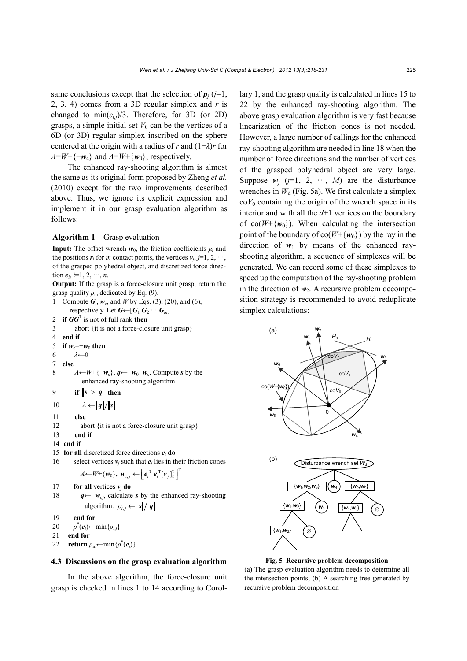same conclusions except that the selection of  $p_i$  ( $j=1$ , 2, 3, 4) comes from a 3D regular simplex and *r* is changed to  $\min(\varepsilon_{i,j})/3$ . Therefore, for 3D (or 2D) grasps, a simple initial set  $V_0$  can be the vertices of a 6D (or 3D) regular simplex inscribed on the sphere centered at the origin with a radius of *r* and (1−*λ*)*r* for  $A=W+\{-w_c\}$  and  $A=W+\{w_0\}$ , respectively.

The enhanced ray-shooting algorithm is almost the same as its original form proposed by Zheng *et al.* (2010) except for the two improvements described above. Thus, we ignore its explicit expression and implement it in our grasp evaluation algorithm as follows:

#### **Algorithm 1** Grasp evaluation

**Input:** The offset wrench  $w_0$ , the friction coefficients  $\mu_i$  and the positions  $r_i$  for *m* contact points, the vertices  $v_i$ ,  $j=1, 2, \dots$ , of the grasped polyhedral object, and discretized force direction  $e_i$ ,  $i=1, 2, \dots, n$ .

**Output:** If the grasp is a force-closure unit grasp, return the grasp quality  $\rho_m$  dedicated by Eq. (9).

```
1 Compute G_i, w_c, and W by Eqs. (3), (20), and (6),
      respectively. Let G \leftarrow [G_1 \ G_2 \ \cdots \ G_m]2 if GGT
 is not of full rank then
3 abort {it is not a force-closure unit grasp} 
4 end if
5 if w_c = -w_0 then
6 λ←0 
7 else 
8 A←W+{−wc}, q←−w0−wc. Compute s by the 
           enhanced ray-shooting algorithm 
9 if ||s|| > ||q|| then
10 \lambda \leftarrow ||q||/||s||11 else
12 abort {it is not a force-closure unit grasp}
13 end if
14 end if
```
- 15 **for all** discretized force directions  $e_i$  **do**
- 16 select vertices  $v_i$  such that  $e_i$  lies in their friction cones  $A \leftarrow W + \{\boldsymbol{w}_0\}, \ \boldsymbol{w}_{i,j} \leftarrow \left[\boldsymbol{e}_i^{\mathrm{T}} \boldsymbol{e}_i^{\mathrm{T}} [\boldsymbol{v}_j]_{\mathsf{x}}^{\mathrm{T}} \right]^{\mathrm{T}}$

```
17 for all vertices v_i do
```
- 18 *q*←−*wi*,*j*, calculate *s* by the enhanced ray-shooting algorithm.  $\rho_{i,j} \leftarrow ||s|| / ||q||$
- 19 **end for**
- 20  $\rho^*(e_i)$ ←min $\{\rho_{i,j}\}$
- 21 **end for**
- 22 **return**  $\rho_m \leftarrow \min \{ \rho^*(e_i) \}$

## **4.3 Discussions on the grasp evaluation algorithm**

In the above algorithm, the force-closure unit grasp is checked in lines 1 to 14 according to Corollary 1, and the grasp quality is calculated in lines 15 to 22 by the enhanced ray-shooting algorithm. The above grasp evaluation algorithm is very fast because linearization of the friction cones is not needed. However, a large number of callings for the enhanced ray-shooting algorithm are needed in line 18 when the number of force directions and the number of vertices of the grasped polyhedral object are very large. Suppose  $w_j$  ( $j=1, 2, \cdots, M$ ) are the disturbance wrenches in  $W_d$  (Fig. 5a). We first calculate a simplex  $\cot V_0$  containing the origin of the wrench space in its interior and with all the *d*+1 vertices on the boundary of  $co(W+\{w_0\})$ . When calculating the intersection point of the boundary of  $co(W+\{w_0\})$  by the ray in the direction of  $w_1$  by means of the enhanced rayshooting algorithm, a sequence of simplexes will be generated. We can record some of these simplexes to speed up the computation of the ray-shooting problem in the direction of  $w_2$ . A recursive problem decomposition strategy is recommended to avoid reduplicate simplex calculations:



**Fig. 5 Recursive problem decomposition**

(a) The grasp evaluation algorithm needs to determine all the intersection points; (b) A searching tree generated by recursive problem decomposition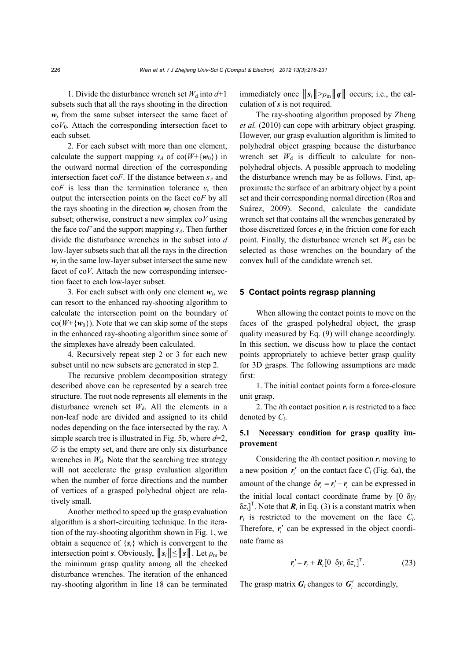1. Divide the disturbance wrench set  $W_d$  into  $d+1$ subsets such that all the rays shooting in the direction  $w_i$  from the same subset intersect the same facet of  $coV<sub>0</sub>$ . Attach the corresponding intersection facet to each subset.

2. For each subset with more than one element, calculate the support mapping  $s_A$  of co( $W + \{w_0\}$ ) in the outward normal direction of the corresponding intersection facet co $F$ . If the distance between  $s_A$  and co*F* is less than the termination tolerance *ε*, then output the intersection points on the facet co*F* by all the rays shooting in the direction  $w_i$  chosen from the subset; otherwise, construct a new simplex co*V* using the face  $\cos F$  and the support mapping  $s_A$ . Then further divide the disturbance wrenches in the subset into *d* low-layer subsets such that all the rays in the direction  $w_i$  in the same low-layer subset intersect the same new facet of co*V*. Attach the new corresponding intersection facet to each low-layer subset.

3. For each subset with only one element  $w_i$ , we can resort to the enhanced ray-shooting algorithm to calculate the intersection point on the boundary of  $\cot(W + \{w_0\})$ . Note that we can skip some of the steps in the enhanced ray-shooting algorithm since some of the simplexes have already been calculated.

4. Recursively repeat step 2 or 3 for each new subset until no new subsets are generated in step 2.

The recursive problem decomposition strategy described above can be represented by a search tree structure. The root node represents all elements in the disturbance wrench set  $W_d$ . All the elements in a non-leaf node are divided and assigned to its child nodes depending on the face intersected by the ray. A simple search tree is illustrated in Fig. 5b, where *d*=2,  $\emptyset$  is the empty set, and there are only six disturbance wrenches in  $W_d$ . Note that the searching tree strategy will not accelerate the grasp evaluation algorithm when the number of force directions and the number of vertices of a grasped polyhedral object are relatively small.

Another method to speed up the grasp evaluation algorithm is a short-circuiting technique. In the iteration of the ray-shooting algorithm shown in Fig. 1, we obtain a sequence of  ${s_i}$  which is convergent to the intersection point *s*. Obviously,  $||s_i|| \le ||s||$ . Let  $\rho_m$  be the minimum grasp quality among all the checked disturbance wrenches. The iteration of the enhanced ray-shooting algorithm in line 18 can be terminated immediately once  $||s_i|| > \rho_m ||q||$  occurs; i.e., the calculation of *s* is not required.

The ray-shooting algorithm proposed by Zheng *et al.* (2010) can cope with arbitrary object grasping. However, our grasp evaluation algorithm is limited to polyhedral object grasping because the disturbance wrench set  $W_d$  is difficult to calculate for nonpolyhedral objects. A possible approach to modeling the disturbance wrench may be as follows. First, approximate the surface of an arbitrary object by a point set and their corresponding normal direction (Roa and Suárez, 2009). Second, calculate the candidate wrench set that contains all the wrenches generated by those discretized forces  $e_i$  in the friction cone for each point. Finally, the disturbance wrench set  $W_d$  can be selected as those wrenches on the boundary of the convex hull of the candidate wrench set.

#### **5 Contact points regrasp planning**

When allowing the contact points to move on the faces of the grasped polyhedral object, the grasp quality measured by Eq. (9) will change accordingly. In this section, we discuss how to place the contact points appropriately to achieve better grasp quality for 3D grasps. The following assumptions are made first:

1. The initial contact points form a force-closure unit grasp.

2. The *i*th contact position  $r_i$  is restricted to a face denoted by *Ci*.

# **5.1 Necessary condition for grasp quality improvement**

Considering the *i*th contact position  $r_i$  moving to a new position  $r_i'$  on the contact face  $C_i$  (Fig. 6a), the amount of the change  $\delta r_i = r'_i - r_i$  can be expressed in the initial local contact coordinate frame by  $[0 \delta y_i]$  $\delta z_i$ <sup>T</sup>. Note that  $\boldsymbol{R}_i$  in Eq. (3) is a constant matrix when  $r_i$  is restricted to the movement on the face  $C_i$ . Therefore,  $r_i'$  can be expressed in the object coordinate frame as

$$
\boldsymbol{r}'_i = \boldsymbol{r}_i + \boldsymbol{R}_i [0 \ \delta y_i \ \delta z_i]^{\mathrm{T}}. \tag{23}
$$

The grasp matrix  $G_i$  changes to  $G'_i$  accordingly,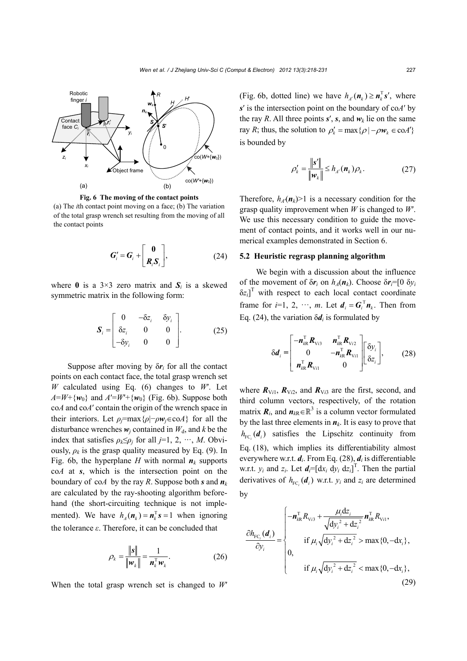

**Fig. 6 The moving of the contact points** 

(a) The *i*th contact point moving on a face; (b) The variation of the total grasp wrench set resulting from the moving of all the contact points

$$
G'_{i} = G_{i} + \begin{bmatrix} 0 \\ R_{i} S_{i} \end{bmatrix}, \qquad (24)
$$

where 0 is a  $3\times3$  zero matrix and  $S_i$  is a skewed symmetric matrix in the following form:

$$
\boldsymbol{S}_{i} = \begin{bmatrix} 0 & -\delta z_{i} & \delta y_{i} \\ \delta z_{i} & 0 & 0 \\ -\delta y_{i} & 0 & 0 \end{bmatrix} . \tag{25}
$$

Suppose after moving by  $\delta r_i$  for all the contact points on each contact face, the total grasp wrench set *W* calculated using Eq. (6) changes to *W*′. Let  $A=W+\{w_0\}$  and  $A'=W'+\{w_0\}$  (Fig. 6b). Suppose both co*A* and co*A*′ contain the origin of the wrench space in their interiors. Let  $\rho_i = \max\{\rho | -\rho \mathbf{w}_i \in \text{coA}\}\$  for all the disturbance wrenches  $w_i$  contained in  $W_d$ , and *k* be the index that satisfies  $\rho_k \leq \rho_j$  for all *j*=1, 2, ···, *M*. Obviously,  $\rho_k$  is the grasp quality measured by Eq. (9). In Fig. 6b, the hyperplane *H* with normal  $n_k$  supports co*A* at *s*, which is the intersection point on the boundary of co*A* by the ray *R*. Suppose both *s* and *n<sup>k</sup>* are calculated by the ray-shooting algorithm beforehand (the short-circuiting technique is not implemented). We have  $h_a(n_k) = n_k^T s = 1$  when ignoring the tolerance *ε*. Therefore, it can be concluded that

$$
\rho_k = \frac{\|\mathbf{s}\|}{\|\mathbf{w}_k\|} = \frac{1}{\mathbf{n}_k^{\mathrm{T}} \mathbf{w}_k}.
$$
 (26)

When the total grasp wrench set is changed to *W*<sup>*n*</sup>

(Fig. 6b, dotted line) we have  $h_{\mu}(\mathbf{n}_{k}) \geq \mathbf{n}_{k}^{\mathrm{T}} \mathbf{s}'$ , where *s*′ is the intersection point on the boundary of co*A*′ by the ray *R*. All three points  $s'$ ,  $s$ , and  $w_k$  lie on the same ray *R*; thus, the solution to  $\rho'_{k} = \max \{ \rho \mid -\rho w_{k} \in \text{coA'} \}$ is bounded by

$$
\rho'_{k} = \frac{\|\mathbf{s}'\|}{\|\mathbf{w}_{k}\|} \le h_{A}(\mathbf{n}_{k})\rho_{k}.
$$
 (27)

Therefore,  $h_A(\mathbf{n}_k)$ >1 is a necessary condition for the grasp quality improvement when *W* is changed to *W*′. We use this necessary condition to guide the movement of contact points, and it works well in our numerical examples demonstrated in Section 6.

## **5.2 Heuristic regrasp planning algorithm**

We begin with a discussion about the influence of the movement of  $\delta r_i$  on  $h_A(n_k)$ . Choose  $\delta r_i = [0 \delta y_i]$  $\delta z_i$ <sup>T</sup> with respect to each local contact coordinate frame for  $i=1, 2, \dots, m$ . Let  $d_i = G_i^T n_i$ . Then from Eq. (24), the variation  $\delta d_i$  is formulated by

$$
\delta \boldsymbol{d}_{i} = \begin{bmatrix} -\boldsymbol{n}_{kR}^{\mathrm{T}} \boldsymbol{R}_{\mathrm{V}i3} & \boldsymbol{n}_{kR}^{\mathrm{T}} \boldsymbol{R}_{\mathrm{V}i2} \\ 0 & -\boldsymbol{n}_{kR}^{\mathrm{T}} \boldsymbol{R}_{\mathrm{V}i1} \\ \boldsymbol{n}_{kR}^{\mathrm{T}} \boldsymbol{R}_{\mathrm{V}i1} & 0 \end{bmatrix} \begin{bmatrix} \delta \boldsymbol{y}_{i} \\ \delta \boldsymbol{z}_{i} \end{bmatrix}, \qquad (28)
$$

where  $R_{Vi1}$ ,  $R_{Vi2}$ , and  $R_{Vi3}$  are the first, second, and third column vectors, respectively, of the rotation matrix  $\mathbf{R}_i$ , and  $\mathbf{n}_{kR} \in \mathbb{R}^3$  is a column vector formulated by the last three elements in  $n_k$ . It is easy to prove that  $h_{\text{FC}_i}$  ( $d_i$ ) satisfies the Lipschitz continuity from Eq. (18), which implies its differentiability almost everywhere w.r.t. *di*. From Eq. (28), *di* is differentiable w.r.t.  $y_i$  and  $z_i$ . Let  $d_i = [\mathrm{d}x_i \mathrm{d}y_i \mathrm{d}z_i]^T$ . Then the partial derivatives of  $h_{\text{FC}_i}(\boldsymbol{d}_i)$  w.r.t.  $y_i$  and  $z_i$  are determined by

$$
\frac{\partial h_{\text{FC}_i}(\boldsymbol{d}_i)}{\partial y_i} = \begin{cases}\n-\boldsymbol{n}_{kR}^{\text{T}} R_{\text{V}_i 3} + \frac{\mu_i \text{d} z_i}{\sqrt{\text{d} y_i^2 + \text{d} z_i^2}} \boldsymbol{n}_{kR}^{\text{T}} R_{\text{V}_i 1}, \\
\text{if } \mu_i \sqrt{\text{d} y_i^2 + \text{d} z_i^2} > \max\{0, -\text{d} x_i\}, \\
0, \\
\text{if } \mu_i \sqrt{\text{d} y_i^2 + \text{d} z_i^2} < \max\{0, -\text{d} x_i\},\n\end{cases}
$$
\n(29)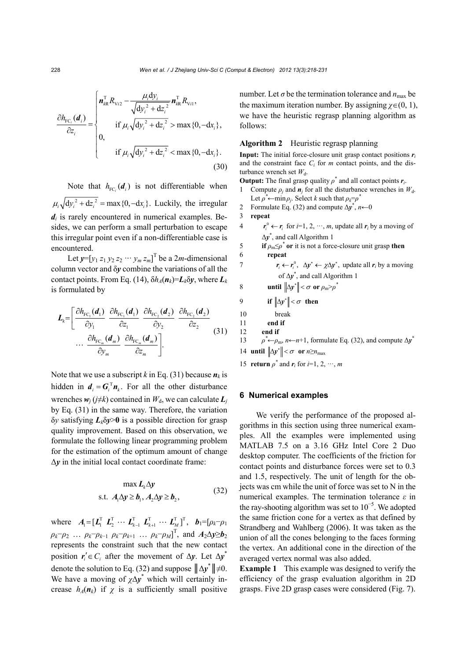$$
\frac{\partial h_{\text{FC}_i}(\boldsymbol{d}_i)}{\partial z_i} = \begin{cases}\n\boldsymbol{n}_{\text{AR}}^{\text{T}} R_{\text{Vi2}} - \frac{\mu_i \text{d} y_i}{\sqrt{\text{d} y_i^2 + \text{d} z_i^2}} \boldsymbol{n}_{\text{AR}}^{\text{T}} R_{\text{Vi1}},\\
\text{if } \mu_i \sqrt{\text{d} y_i^2 + \text{d} z_i^2} > \max\{0, -\text{d} x_i\},\\
0, \quad \text{if } \mu_i \sqrt{\text{d} y_i^2 + \text{d} z_i^2} < \max\{0, -\text{d} x_i\}. \tag{30}\n\end{cases}
$$

Note that  $h_{\text{FC}_i}(\boldsymbol{d}_i)$  is not differentiable when  $\mu_1 \sqrt{dy_i^2 + dz_i^2} = \max\{0, -dx_i\}.$  Luckily, the irregular  $d_i$  is rarely encountered in numerical examples. Besides, we can perform a small perturbation to escape this irregular point even if a non-differentiable case is encountered.

Let  $y=[y_1 z_1 y_2 z_2 \cdots y_m z_m]^T$  be a 2*m*-dimensional column vector and δ*y* combine the variations of all the contact points. From Eq. (14),  $\delta h_A(n_k) = L_k \delta y$ , where  $L_k$ is formulated by

$$
L_{k} = \left[\begin{array}{cc}\frac{\partial h_{\text{FC}_1}(\boldsymbol{d}_1)}{\partial y_1} & \frac{\partial h_{\text{FC}_1}(\boldsymbol{d}_1)}{\partial z_1} & \frac{\partial h_{\text{FC}_2}(\boldsymbol{d}_2)}{\partial y_2} & \frac{\partial h_{\text{FC}_2}(\boldsymbol{d}_2)}{\partial z_2} \\ \cdots & \frac{\partial h_{\text{FC}_m}(\boldsymbol{d}_m)}{\partial y_m} & \frac{\partial h_{\text{FC}_m}(\boldsymbol{d}_m)}{\partial z_m}\end{array}\right]
$$
(31)

Note that we use a subscript *k* in Eq. (31) because  $n_k$  is hidden in  $d_i = G_i^T n_k$ . For all the other disturbance wrenches  $w_i$  ( $j \neq k$ ) contained in  $W_d$ , we can calculate  $L_i$ by Eq. (31) in the same way. Therefore, the variation δ*y* satisfying *Lk*δ*y*>**0** is a possible direction for grasp quality improvement. Based on this observation, we formulate the following linear programming problem for the estimation of the optimum amount of change  $\Delta y$  in the initial local contact coordinate frame:

$$
\max L_k \Delta y
$$
  
s.t.  $A_1 \Delta y \ge b_1, A_2 \Delta y \ge b_2,$  (32)

where  $A_1 = [L_1^T L_2^T \cdots L_{k-1}^T L_{k+1}^T \cdots L_M^T]^T$ ,  $b_1 = [\rho_k - \rho_1]$ *p*<sub>*k*</sub>−*p*<sub>2</sub> … *p*<sub>*k*</sub>−*p*<sub>*k*−1</sub> *p*<sub>*k*</sub>−*p*<sub>*k*+1</sub> … *p*<sub>*k*</sub>−*p*<sub>*M*</sub>]<sup>T</sup>, and *A*<sub>2</sub>∆*y*≥*b*<sub>2</sub> represents the constraint such that the new contact position  $r_i' \in C_i$  after the movement of  $\Delta y$ . Let  $\Delta y^*$ denote the solution to Eq. (32) and suppose  $||\Delta y^*|| \neq 0$ . We have a moving of  $\chi \Delta y^*$  which will certainly increase  $h_A(n_k)$  if  $\chi$  is a sufficiently small positive

number. Let  $\sigma$  be the termination tolerance and  $n_{\text{max}}$  be the maximum iteration number. By assigning  $\chi \in (0, 1)$ , we have the heuristic regrasp planning algorithm as follows:

## **Algorithm 2** Heuristic regrasp planning

**Input:** The initial force-closure unit grasp contact positions  $r_i$ and the constraint face *Ci* for *m* contact points, and the disturbance wrench set  $W_d$ .

**Output:** The final grasp quality  $\rho^*$  and all contact points  $r_i$ .

- 1 Compute  $\rho_i$  and  $\mathbf{n}_i$  for all the disturbance wrenches in  $W_d$ . Let  $\rho^* \leftarrow \min \rho_j$ . Select *k* such that  $\rho_k = \rho^*$
- 2 Formulate Eq. (32) and compute  $\Delta y^*$ ,  $n \leftarrow 0$
- 3 **repeat**
- 4  $r_i^0 \leftarrow r_i$  for  $i=1, 2, \dots, m$ , update all  $r_i$  by a moving of Δ*y*\* , and call Algorithm 1

5 **if**  $\rho_m \leq \rho^*$  or it is not a force-closure unit grasp then 6 **repeat**

- 7  $r_i \leftarrow r_i^0$ ,  $\Delta y^* \leftarrow \chi \Delta y^*$ , update all  $r_i$  by a moving of Δ*y*\* , and call Algorithm 1
- 8 **until**  $\|\Delta y^*\| < \sigma$  or  $\rho_m > \rho^*$
- 9 **if**  $\|\Delta y^*\| < \sigma$  then
- 10 break
- 11 **end if**
- 12 **end if**

13  $\rho^* \leftarrow \rho_m$ , *n* $\leftarrow$ *n*+1, formulate Eq. (32), and compute  $\Delta y^*$ 

- 14 **until**  $\|\Delta y^*\| < \sigma$  or  $n \ge n_{\text{max}}$
- 15 **return**  $\rho^*$  and  $\mathbf{r}_i$  for  $i=1, 2, \dots, m$

## **6 Numerical examples**

We verify the performance of the proposed algorithms in this section using three numerical examples. All the examples were implemented using MATLAB 7.5 on a 3.16 GHz Intel Core 2 Duo desktop computer. The coefficients of the friction for contact points and disturbance forces were set to 0.3 and 1.5, respectively. The unit of length for the objects was cm while the unit of force was set to N in the numerical examples. The termination tolerance *ε* in the ray-shooting algorithm was set to  $10^{-5}$ . We adopted the same friction cone for a vertex as that defined by Strandberg and Wahlberg (2006). It was taken as the union of all the cones belonging to the faces forming the vertex. An additional cone in the direction of the averaged vertex normal was also added.

**Example 1** This example was designed to verify the efficiency of the grasp evaluation algorithm in 2D grasps. Five 2D grasp cases were considered (Fig. 7).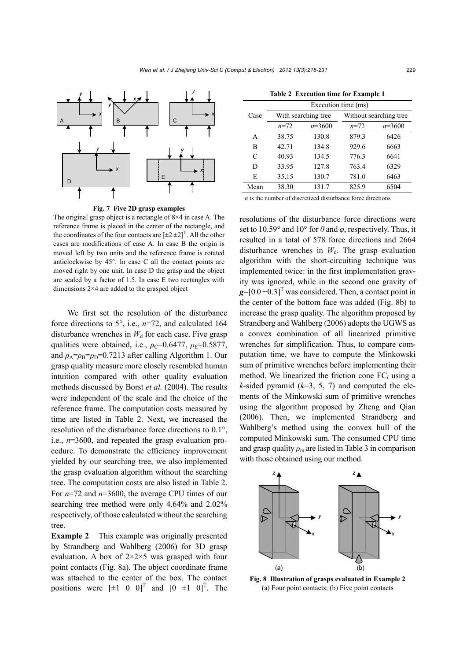



The original grasp object is a rectangle of 8×4 in case A. The reference frame is placed in the center of the rectangle, and the coordinates of the four contacts are  $[\pm 2 \pm 2]^T$ . All the other cases are modifications of case A. In case B the origin is moved left by two units and the reference frame is rotated anticlockwise by 45°. In case C all the contact points are moved right by one unit. In case D the grasp and the object are scaled by a factor of 1.5. In case E two rectangles with dimensions 2×4 are added to the grasped object

We first set the resolution of the disturbance force directions to 5°, i.e., *n*=72, and calculated 164 disturbance wrenches in  $W_d$  for each case. Five grasp qualities were obtained, i.e.,  $\rho_c$ =0.6477,  $\rho_E$ =0.5877, and  $\rho_A = \rho_B = 0.7213$  after calling Algorithm 1. Our grasp quality measure more closely resembled human intuition compared with other quality evaluation methods discussed by Borst *et al.* (2004). The results were independent of the scale and the choice of the reference frame. The computation costs measured by time are listed in Table 2. Next, we increased the resolution of the disturbance force directions to 0.1°, i.e., *n*=3600, and repeated the grasp evaluation procedure. To demonstrate the efficiency improvement yielded by our searching tree, we also implemented the grasp evaluation algorithm without the searching tree. The computation costs are also listed in Table 2. For *n*=72 and *n*=3600, the average CPU times of our searching tree method were only 4.64% and 2.02% respectively, of those calculated without the searching tree.

**Example 2** This example was originally presented by Strandberg and Wahlberg (2006) for 3D grasp evaluation. A box of  $2 \times 2 \times 5$  was grasped with four point contacts (Fig. 8a). The object coordinate frame was attached to the center of the box. The contact positions were  $[\pm 1 \ 0 \ 0]^T$  and  $[0 \ \pm 1 \ 0]^T$ . The

|  |  |  | <b>Table 2 Execution time for Example 1</b> |
|--|--|--|---------------------------------------------|
|--|--|--|---------------------------------------------|

|               | Execution time (ms) |          |                        |          |  |  |
|---------------|---------------------|----------|------------------------|----------|--|--|
| Case          | With searching tree |          | Without searching tree |          |  |  |
|               | $n = 72$            | $n=3600$ | $n = 72$               | $n=3600$ |  |  |
| A             | 38.75               | 130.8    | 879.3                  | 6426     |  |  |
| B             | 42.71               | 134.8    | 929.6                  | 6663     |  |  |
| $\mathcal{C}$ | 40.93               | 134.5    | 776.3                  | 6641     |  |  |
| D             | 33.95               | 127.8    | 763.4                  | 6329     |  |  |
| E             | 35.15               | 130.7    | 781.0                  | 6463     |  |  |
| Mean          | 38.30               | 131.7    | 825.9                  | 6504     |  |  |

*n* is the number of discretized disturbance force directions

resolutions of the disturbance force directions were set to 10.59° and 10° for  $\theta$  and  $\varphi$ , respectively. Thus, it resulted in a total of 578 force directions and 2664 disturbance wrenches in  $W<sub>d</sub>$ . The grasp evaluation algorithm with the short-circuiting technique was implemented twice: in the first implementation gravity was ignored, while in the second one gravity of  $g=[0\ 0\ -0.3]$ <sup>T</sup> was considered. Then, a contact point in the center of the bottom face was added (Fig. 8b) to increase the grasp quality. The algorithm proposed by Strandberg and Wahlberg (2006) adopts the UGWS as a convex combination of all linearized primitive wrenches for simplification. Thus, to compare computation time, we have to compute the Minkowski sum of primitive wrenches before implementing their method. We linearized the friction cone FC*i* using a *k*-sided pyramid  $(k=3, 5, 7)$  and computed the elements of the Minkowski sum of primitive wrenches using the algorithm proposed by Zheng and Qian (2006). Then, we implemented Strandberg and Wahlberg's method using the convex hull of the computed Minkowski sum. The consumed CPU time and grasp quality  $\rho_m$  are listed in Table 3 in comparison with those obtained using our method.



**Fig. 8 Illustration of grasps evaluated in Example 2**  (a) Four point contacts; (b) Five point contacts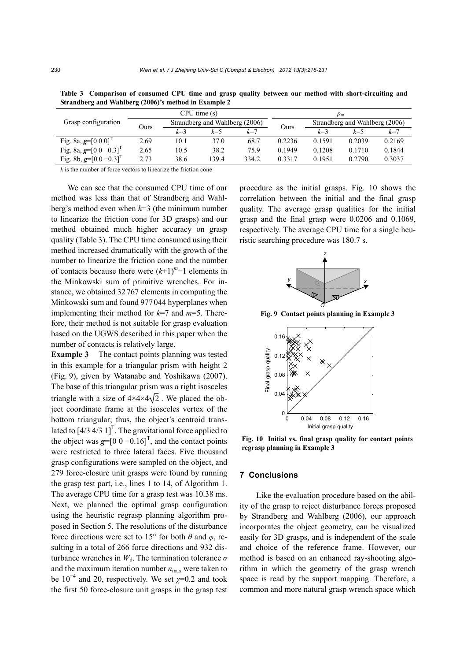| Grasp configuration                      | CPU time (s) |                                |       | $\rho_{\rm m}$ |                                |        |         |        |
|------------------------------------------|--------------|--------------------------------|-------|----------------|--------------------------------|--------|---------|--------|
|                                          | Ours         | Strandberg and Wahlberg (2006) |       | Ours           | Strandberg and Wahlberg (2006) |        |         |        |
|                                          |              | $k = 3$                        | k=5   | $k = 7$        |                                | $k=3$  | $k = 5$ | $k=7$  |
| Fig. 8a, $g=[0\ 0\ 0]^T$                 | 2.69         | 10.1                           | 37.0  | 68.7           | 0.2236                         | 0.1591 | 0.2039  | 0.2169 |
| Fig. 8a, $g=[0 \ 0 \ -0.3]^{T}$          | 2.65         | 10.5                           | 38.2  | 75.9           | 0.1949                         | 0.1208 | 0.1710  | 0.1844 |
| Fig. 8b, $g=[0 \ 0 \ -0.3]$ <sup>T</sup> | 2.73         | 38.6                           | 139.4 | 334.2          | 0.3317                         | 0.1951 | 0.2790  | 0.3037 |

**Table 3 Comparison of consumed CPU time and grasp quality between our method with short-circuiting and Strandberg and Wahlberg (2006)'s method in Example 2** 

*k* is the number of force vectors to linearize the friction cone

We can see that the consumed CPU time of our method was less than that of Strandberg and Wahlberg's method even when *k*=3 (the minimum number to linearize the friction cone for 3D grasps) and our method obtained much higher accuracy on grasp quality (Table 3). The CPU time consumed using their method increased dramatically with the growth of the number to linearize the friction cone and the number of contacts because there were (*k*+1)*<sup>m</sup>*−1 elements in the Minkowski sum of primitive wrenches. For instance, we obtained 32767 elements in computing the Minkowski sum and found 977044 hyperplanes when implementing their method for *k*=7 and *m*=5. Therefore, their method is not suitable for grasp evaluation based on the UGWS described in this paper when the number of contacts is relatively large.

**Example 3** The contact points planning was tested in this example for a triangular prism with height 2 (Fig. 9), given by Watanabe and Yoshikawa (2007). The base of this triangular prism was a right isosceles triangle with a size of  $4 \times 4 \times 4 \sqrt{2}$ . We placed the object coordinate frame at the isosceles vertex of the bottom triangular; thus, the object's centroid translated to  $\left[4/3, 4/3, 1\right]^T$ . The gravitational force applied to the object was  $g=[0 \ 0 \ -0.16]^T$ , and the contact points were restricted to three lateral faces. Five thousand grasp configurations were sampled on the object, and 279 force-closure unit grasps were found by running the grasp test part, i.e., lines 1 to 14, of Algorithm 1. The average CPU time for a grasp test was 10.38 ms. Next, we planned the optimal grasp configuration using the heuristic regrasp planning algorithm proposed in Section 5. The resolutions of the disturbance force directions were set to 15° for both  $\theta$  and  $\varphi$ , resulting in a total of 266 force directions and 932 disturbance wrenches in  $W_d$ . The termination tolerance  $\sigma$ and the maximum iteration number  $n_{\text{max}}$  were taken to be  $10^{-4}$  and 20, respectively. We set  $\chi$ =0.2 and took the first 50 force-closure unit grasps in the grasp test

procedure as the initial grasps. Fig. 10 shows the correlation between the initial and the final grasp quality. The average grasp qualities for the initial grasp and the final grasp were 0.0206 and 0.1069, respectively. The average CPU time for a single heuristic searching procedure was 180.7 s.



**Fig. 9 Contact points planning in Example 3**



**Fig. 10 Initial vs. final grasp quality for contact points regrasp planning in Example 3**

#### **7 Conclusions**

Like the evaluation procedure based on the ability of the grasp to reject disturbance forces proposed by Strandberg and Wahlberg (2006), our approach incorporates the object geometry, can be visualized easily for 3D grasps, and is independent of the scale and choice of the reference frame. However, our method is based on an enhanced ray-shooting algorithm in which the geometry of the grasp wrench space is read by the support mapping. Therefore, a common and more natural grasp wrench space which